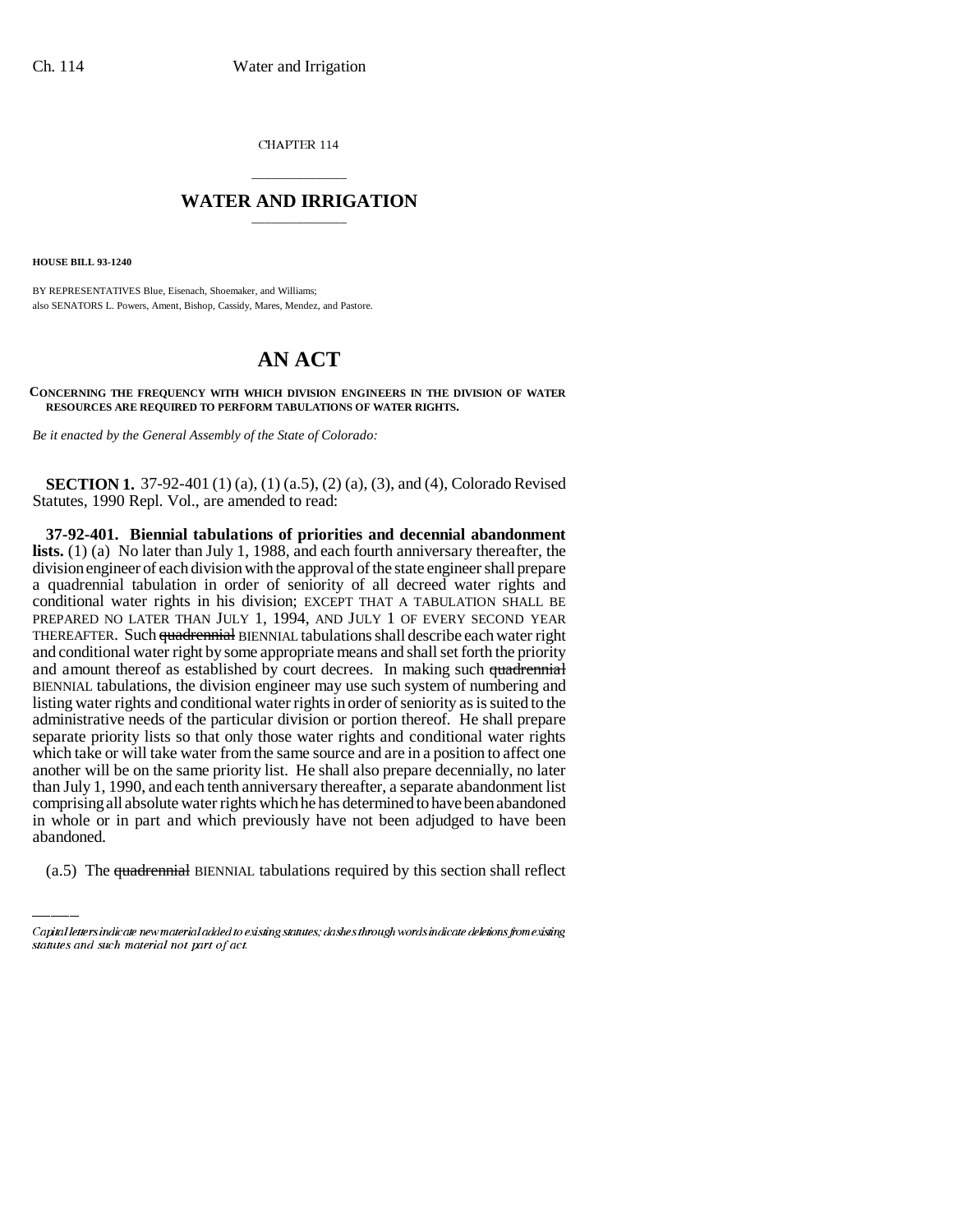CHAPTER 114

## \_\_\_\_\_\_\_\_\_\_\_\_\_\_\_ **WATER AND IRRIGATION** \_\_\_\_\_\_\_\_\_\_\_\_\_\_\_

**HOUSE BILL 93-1240**

BY REPRESENTATIVES Blue, Eisenach, Shoemaker, and Williams; also SENATORS L. Powers, Ament, Bishop, Cassidy, Mares, Mendez, and Pastore.

## **AN ACT**

**CONCERNING THE FREQUENCY WITH WHICH DIVISION ENGINEERS IN THE DIVISION OF WATER RESOURCES ARE REQUIRED TO PERFORM TABULATIONS OF WATER RIGHTS.**

*Be it enacted by the General Assembly of the State of Colorado:*

**SECTION 1.** 37-92-401 (1) (a), (1) (a.5), (2) (a), (3), and (4), Colorado Revised Statutes, 1990 Repl. Vol., are amended to read:

comprising all absolute water rights which he has determined to have been abandoned **37-92-401. Biennial tabulations of priorities and decennial abandonment lists.** (1) (a) No later than July 1, 1988, and each fourth anniversary thereafter, the division engineer of each division with the approval of the state engineer shall prepare a quadrennial tabulation in order of seniority of all decreed water rights and conditional water rights in his division; EXCEPT THAT A TABULATION SHALL BE PREPARED NO LATER THAN JULY 1, 1994, AND JULY 1 OF EVERY SECOND YEAR THEREAFTER. Such quadrennial BIENNIAL tabulations shall describe each water right and conditional water right by some appropriate means and shall set forth the priority and amount thereof as established by court decrees. In making such quadrennial BIENNIAL tabulations, the division engineer may use such system of numbering and listing water rights and conditional water rights in order of seniority as is suited to the administrative needs of the particular division or portion thereof. He shall prepare separate priority lists so that only those water rights and conditional water rights which take or will take water from the same source and are in a position to affect one another will be on the same priority list. He shall also prepare decennially, no later than July 1, 1990, and each tenth anniversary thereafter, a separate abandonment list in whole or in part and which previously have not been adjudged to have been abandoned.

(a.5) The quadrennial BIENNIAL tabulations required by this section shall reflect

Capital letters indicate new material added to existing statutes; dashes through words indicate deletions from existing statutes and such material not part of act.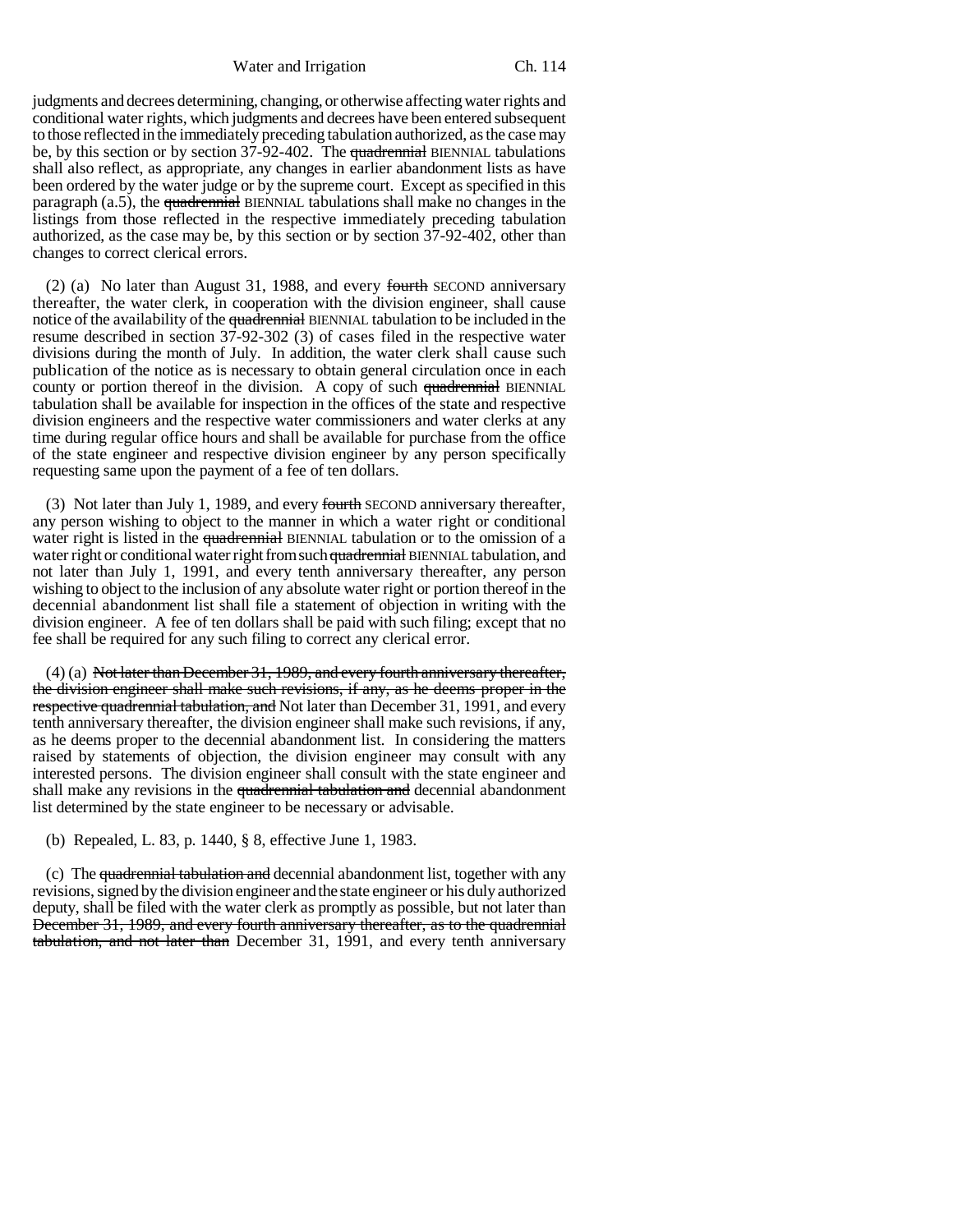Water and Irrigation Ch. 114

judgments and decrees determining, changing, or otherwise affecting water rights and conditional water rights, which judgments and decrees have been entered subsequent to those reflected in the immediately preceding tabulation authorized, as the case may be, by this section or by section 37-92-402. The quadrennial BIENNIAL tabulations shall also reflect, as appropriate, any changes in earlier abandonment lists as have been ordered by the water judge or by the supreme court. Except as specified in this paragraph  $(a.5)$ , the quadrennial BIENNIAL tabulations shall make no changes in the listings from those reflected in the respective immediately preceding tabulation authorized, as the case may be, by this section or by section 37-92-402, other than changes to correct clerical errors.

(2) (a) No later than August 31, 1988, and every fourth SECOND anniversary thereafter, the water clerk, in cooperation with the division engineer, shall cause notice of the availability of the quadrennial BIENNIAL tabulation to be included in the resume described in section 37-92-302 (3) of cases filed in the respective water divisions during the month of July. In addition, the water clerk shall cause such publication of the notice as is necessary to obtain general circulation once in each county or portion thereof in the division. A copy of such quadrennial BIENNIAL tabulation shall be available for inspection in the offices of the state and respective division engineers and the respective water commissioners and water clerks at any time during regular office hours and shall be available for purchase from the office of the state engineer and respective division engineer by any person specifically requesting same upon the payment of a fee of ten dollars.

(3) Not later than July 1, 1989, and every fourth SECOND anniversary thereafter, any person wishing to object to the manner in which a water right or conditional water right is listed in the quadrennial BIENNIAL tabulation or to the omission of a water right or conditional water right from such quadrennial BIENNIAL tabulation, and not later than July 1, 1991, and every tenth anniversary thereafter, any person wishing to object to the inclusion of any absolute water right or portion thereof in the decennial abandonment list shall file a statement of objection in writing with the division engineer. A fee of ten dollars shall be paid with such filing; except that no fee shall be required for any such filing to correct any clerical error.

 $(4)$  (a) Not later than December 31, 1989, and every fourth anniversary thereafter, the division engineer shall make such revisions, if any, as he deems proper in the respective quadrennial tabulation, and Not later than December 31, 1991, and every tenth anniversary thereafter, the division engineer shall make such revisions, if any, as he deems proper to the decennial abandonment list. In considering the matters raised by statements of objection, the division engineer may consult with any interested persons. The division engineer shall consult with the state engineer and shall make any revisions in the quadrennial tabulation and decennial abandonment list determined by the state engineer to be necessary or advisable.

(b) Repealed, L. 83, p. 1440, § 8, effective June 1, 1983.

(c) The quadrennial tabulation and decennial abandonment list, together with any revisions, signed by the division engineer and the state engineer or his duly authorized deputy, shall be filed with the water clerk as promptly as possible, but not later than December 31, 1989, and every fourth anniversary thereafter, as to the quadrennial tabulation, and not later than December 31, 1991, and every tenth anniversary